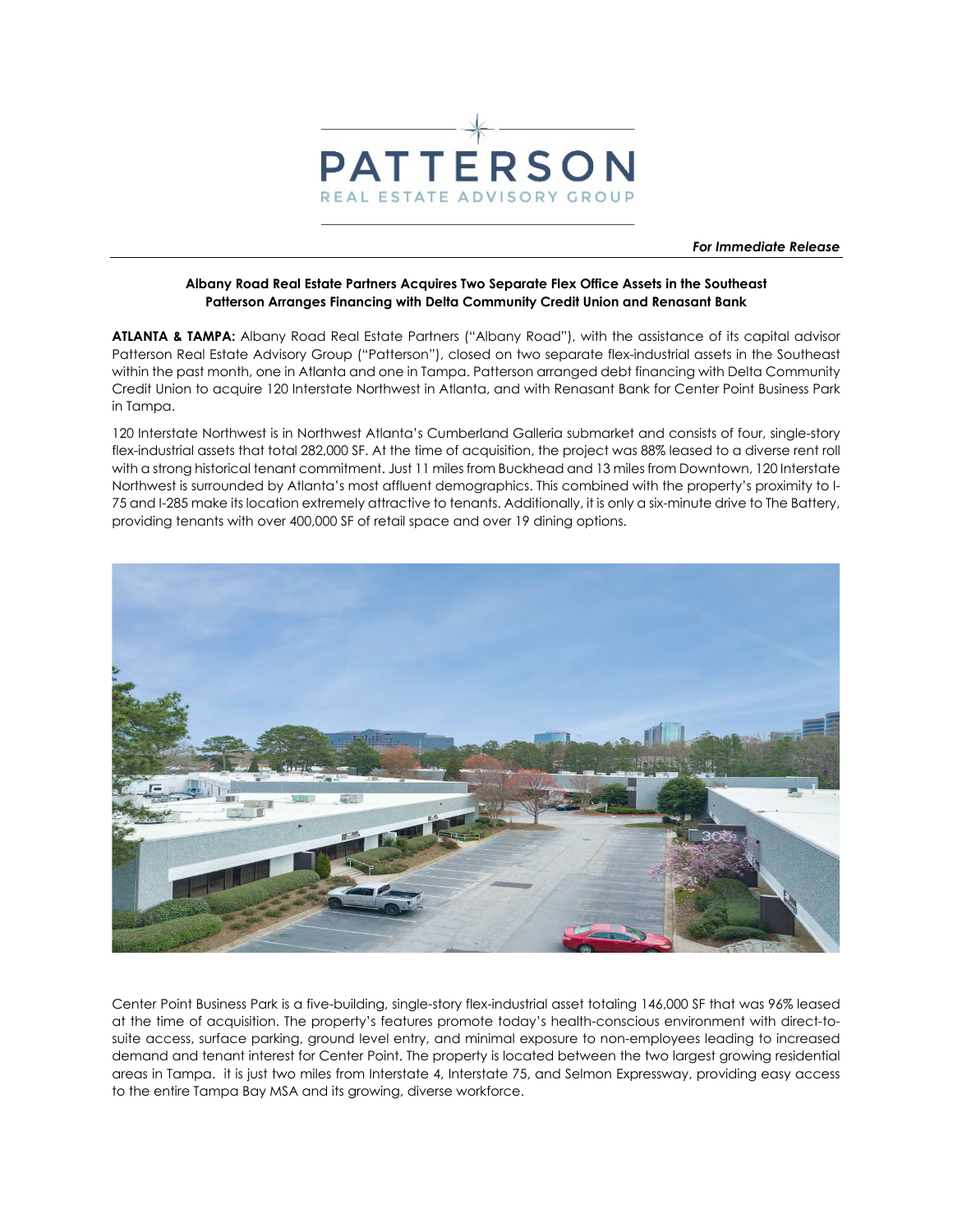

*For Immediate Release* 

## **Albany Road Real Estate Partners Acquires Two Separate Flex Office Assets in the Southeast Patterson Arranges Financing with Delta Community Credit Union and Renasant Bank**

**ATLANTA & TAMPA:** Albany Road Real Estate Partners ("Albany Road"), with the assistance of its capital advisor Patterson Real Estate Advisory Group ("Patterson"), closed on two separate flex-industrial assets in the Southeast within the past month, one in Atlanta and one in Tampa. Patterson arranged debt financing with Delta Community Credit Union to acquire 120 Interstate Northwest in Atlanta, and with Renasant Bank for Center Point Business Park in Tampa.

120 Interstate Northwest is in Northwest Atlanta's Cumberland Galleria submarket and consists of four, single-story flex-industrial assets that total 282,000 SF. At the time of acquisition, the project was 88% leased to a diverse rent roll with a strong historical tenant commitment. Just 11 miles from Buckhead and 13 miles from Downtown, 120 Interstate Northwest is surrounded by Atlanta's most affluent demographics. This combined with the property's proximity to I-75 and I-285 make its location extremely attractive to tenants. Additionally, it is only a six-minute drive to The Battery, providing tenants with over 400,000 SF of retail space and over 19 dining options.



Center Point Business Park is a five-building, single-story flex-industrial asset totaling 146,000 SF that was 96% leased at the time of acquisition. The property's features promote today's health-conscious environment with direct-tosuite access, surface parking, ground level entry, and minimal exposure to non-employees leading to increased demand and tenant interest for Center Point. The property is located between the two largest growing residential areas in Tampa. it is just two miles from Interstate 4, Interstate 75, and Selmon Expressway, providing easy access to the entire Tampa Bay MSA and its growing, diverse workforce.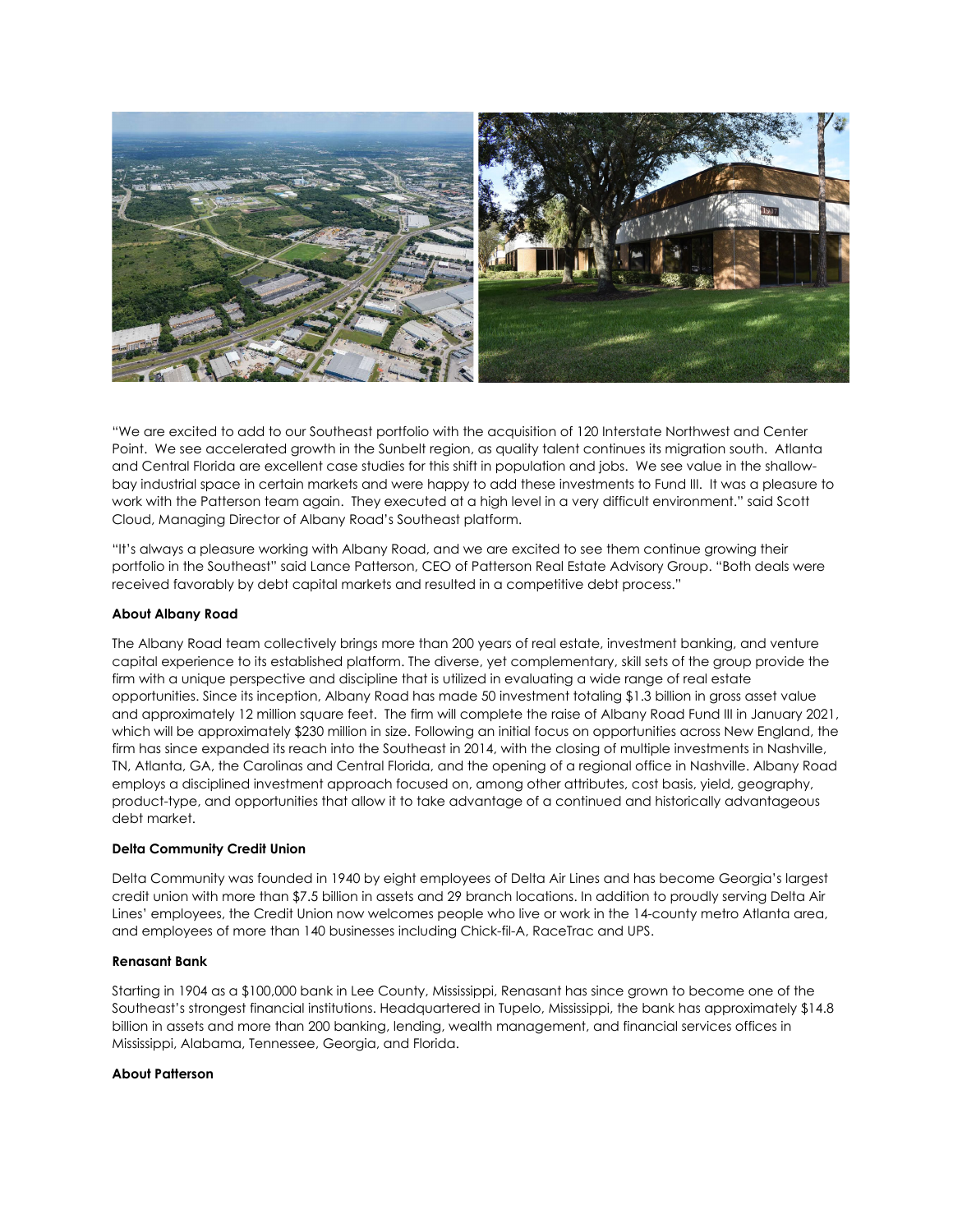

"We are excited to add to our Southeast portfolio with the acquisition of 120 Interstate Northwest and Center Point. We see accelerated growth in the Sunbelt region, as quality talent continues its migration south. Atlanta and Central Florida are excellent case studies for this shift in population and jobs. We see value in the shallowbay industrial space in certain markets and were happy to add these investments to Fund III. It was a pleasure to work with the Patterson team again. They executed at a high level in a very difficult environment." said Scott Cloud, Managing Director of Albany Road's Southeast platform.

"It's always a pleasure working with Albany Road, and we are excited to see them continue growing their portfolio in the Southeast" said Lance Patterson, CEO of Patterson Real Estate Advisory Group. "Both deals were received favorably by debt capital markets and resulted in a competitive debt process."

# **About Albany Road**

The Albany Road team collectively brings more than 200 years of real estate, investment banking, and venture capital experience to its established platform. The diverse, yet complementary, skill sets of the group provide the firm with a unique perspective and discipline that is utilized in evaluating a wide range of real estate opportunities. Since its inception, Albany Road has made 50 investment totaling \$1.3 billion in gross asset value and approximately 12 million square feet. The firm will complete the raise of Albany Road Fund III in January 2021, which will be approximately \$230 million in size. Following an initial focus on opportunities across New England, the firm has since expanded its reach into the Southeast in 2014, with the closing of multiple investments in Nashville, TN, Atlanta, GA, the Carolinas and Central Florida, and the opening of a regional office in Nashville. Albany Road employs a disciplined investment approach focused on, among other attributes, cost basis, yield, geography, product-type, and opportunities that allow it to take advantage of a continued and historically advantageous debt market.

### **Delta Community Credit Union**

Delta Community was founded in 1940 by eight employees of Delta Air Lines and has become Georgia's largest credit union with more than \$7.5 billion in assets and 29 branch locations. In addition to proudly serving Delta Air Lines' employees, the Credit Union now welcomes people who live or work in the 14-county metro Atlanta area, and employees of more than 140 businesses including Chick-fil-A, RaceTrac and UPS.

### **Renasant Bank**

Starting in 1904 as a \$100,000 bank in Lee County, Mississippi, Renasant has since grown to become one of the Southeast's strongest financial institutions. Headquartered in Tupelo, Mississippi, the bank has approximately \$14.8 billion in assets and more than 200 banking, lending, wealth management, and financial services offices in Mississippi, Alabama, Tennessee, Georgia, and Florida.

### **About Patterson**